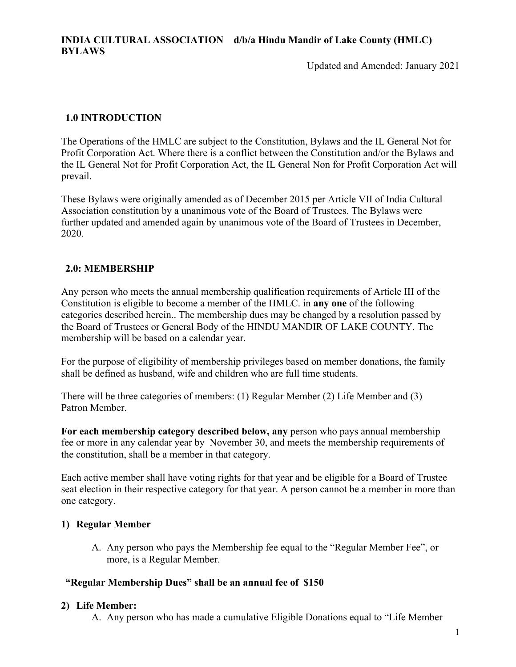Updated and Amended: January 2021

# **1.0 INTRODUCTION**

The Operations of the HMLC are subject to the Constitution, Bylaws and the IL General Not for Profit Corporation Act. Where there is a conflict between the Constitution and/or the Bylaws and the IL General Not for Profit Corporation Act, the IL General Non for Profit Corporation Act will prevail.

These Bylaws were originally amended as of December 2015 per Article VII of India Cultural Association constitution by a unanimous vote of the Board of Trustees. The Bylaws were further updated and amended again by unanimous vote of the Board of Trustees in December, 2020.

### **2.0: MEMBERSHIP**

Any person who meets the annual membership qualification requirements of Article III of the Constitution is eligible to become a member of the HMLC. in **any one** of the following categories described herein.. The membership dues may be changed by a resolution passed by the Board of Trustees or General Body of the HINDU MANDIR OF LAKE COUNTY. The membership will be based on a calendar year.

For the purpose of eligibility of membership privileges based on member donations, the family shall be defined as husband, wife and children who are full time students.

There will be three categories of members: (1) Regular Member (2) Life Member and (3) Patron Member.

**For each membership category described below, any** person who pays annual membership fee or more in any calendar year by November 30, and meets the membership requirements of the constitution, shall be a member in that category.

Each active member shall have voting rights for that year and be eligible for a Board of Trustee seat election in their respective category for that year. A person cannot be a member in more than one category.

# **1) Regular Member**

A. Any person who pays the Membership fee equal to the "Regular Member Fee", or more, is a Regular Member.

### **"Regular Membership Dues" shall be an annual fee of \$150**

### **2) Life Member:**

A. Any person who has made a cumulative Eligible Donations equal to "Life Member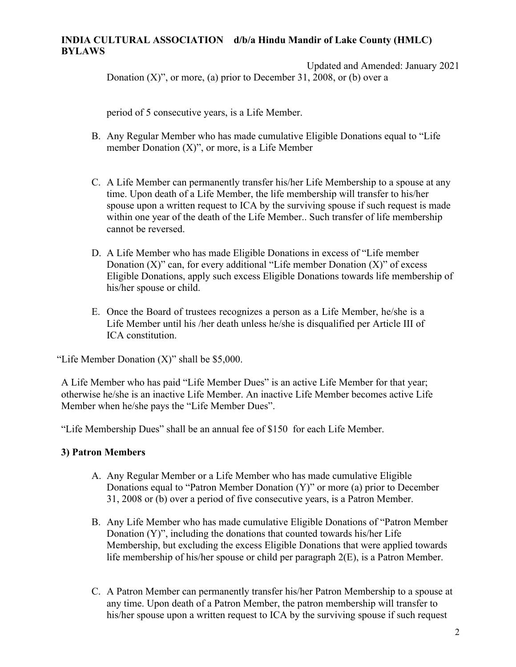# **INDIA CULTURAL ASSOCIATION d/b/a Hindu Mandir of Lake County (HMLC) BYLAWS**

Updated and Amended: January 2021 Donation  $(X)$ ", or more, (a) prior to December 31, 2008, or (b) over a

period of 5 consecutive years, is a Life Member.

- B. Any Regular Member who has made cumulative Eligible Donations equal to "Life member Donation  $(X)$ ", or more, is a Life Member
- C. A Life Member can permanently transfer his/her Life Membership to a spouse at any time. Upon death of a Life Member, the life membership will transfer to his/her spouse upon a written request to ICA by the surviving spouse if such request is made within one year of the death of the Life Member.. Such transfer of life membership cannot be reversed.
- D. A Life Member who has made Eligible Donations in excess of "Life member Donation  $(X)$ " can, for every additional "Life member Donation  $(X)$ " of excess Eligible Donations, apply such excess Eligible Donations towards life membership of his/her spouse or child.
- E. Once the Board of trustees recognizes a person as a Life Member, he/she is a Life Member until his /her death unless he/she is disqualified per Article III of ICA constitution.

"Life Member Donation  $(X)$ " shall be \$5,000.

A Life Member who has paid "Life Member Dues" is an active Life Member for that year; otherwise he/she is an inactive Life Member. An inactive Life Member becomes active Life Member when he/she pays the "Life Member Dues".

"Life Membership Dues" shall be an annual fee of \$150 for each Life Member.

# **3) Patron Members**

- A. Any Regular Member or a Life Member who has made cumulative Eligible Donations equal to "Patron Member Donation (Y)" or more (a) prior to December 31, 2008 or (b) over a period of five consecutive years, is a Patron Member.
- B. Any Life Member who has made cumulative Eligible Donations of "Patron Member Donation (Y)", including the donations that counted towards his/her Life Membership, but excluding the excess Eligible Donations that were applied towards life membership of his/her spouse or child per paragraph 2(E), is a Patron Member.
- C. A Patron Member can permanently transfer his/her Patron Membership to a spouse at any time. Upon death of a Patron Member, the patron membership will transfer to his/her spouse upon a written request to ICA by the surviving spouse if such request